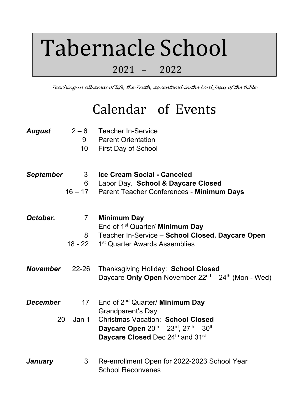## Tabernacle School

## 2021 – 2022

*Teaching in all areas of life, the Truth, as centered in the Lord Jesus of the Bible.*

## Calendar of Events

| August           | $2 - 6$<br>9<br>10 <sup>°</sup>   | <b>Teacher In-Service</b><br><b>Parent Orientation</b><br><b>First Day of School</b>                                                                                                             |
|------------------|-----------------------------------|--------------------------------------------------------------------------------------------------------------------------------------------------------------------------------------------------|
| <b>September</b> | 3 <sup>7</sup><br>6               | Ice Cream Social - Canceled<br>Labor Day. School & Daycare Closed<br>16 - 17 Parent Teacher Conferences - Minimum Days                                                                           |
| October.         | $7\overline{ }$<br>8<br>$18 - 22$ | <b>Minimum Day</b><br>End of 1 <sup>st</sup> Quarter/ Minimum Day<br>Teacher In-Service - School Closed, Daycare Open<br>1 <sup>st</sup> Quarter Awards Assemblies                               |
| <b>November</b>  | $22 - 26$                         | Thanksgiving Holiday: School Closed<br>Daycare Only Open November 22 <sup>nd</sup> – 24 <sup>th</sup> (Mon - Wed)                                                                                |
| <b>December</b>  | 17<br>$20 -$ Jan 1                | End of 2 <sup>nd</sup> Quarter/ Minimum Day<br><b>Grandparent's Day</b><br><b>Christmas Vacation: School Closed</b><br>Daycare Open 20th - 23rd, 27th - 30th<br>Daycare Closed Dec 24th and 31st |
| January          | 3                                 | Re-enrollment Open for 2022-2023 School Year<br><b>School Reconvenes</b>                                                                                                                         |